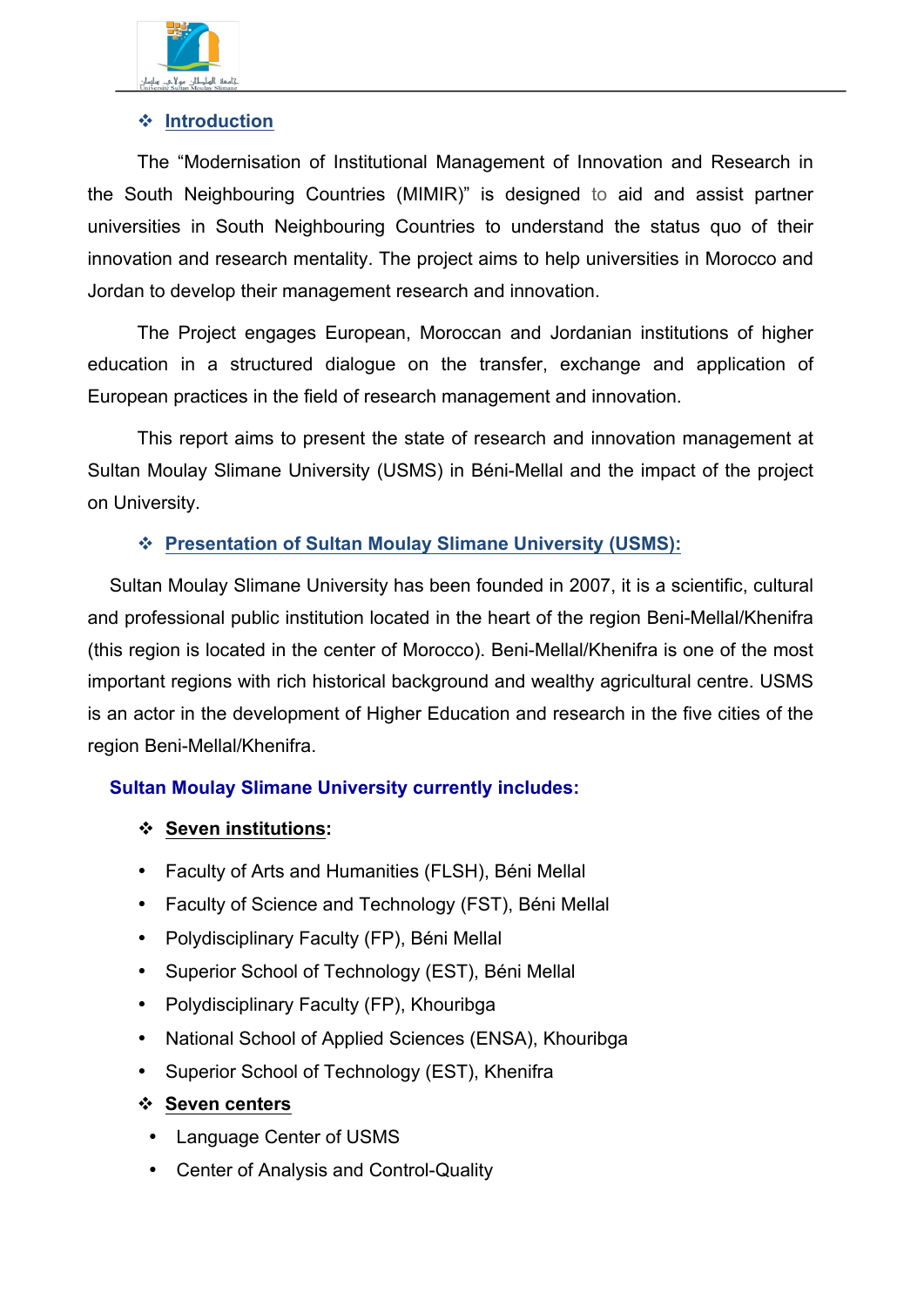

## v **Introduction**

The "Modernisation of Institutional Management of Innovation and Research in the South Neighbouring Countries (MIMIR)" is designed to aid and assist partner universities in South Neighbouring Countries to understand the status quo of their innovation and research mentality. The project aims to help universities in Morocco and Jordan to develop their management research and innovation.

The Project engages European, Moroccan and Jordanian institutions of higher education in a structured dialogue on the transfer, exchange and application of European practices in the field of research management and innovation.

This report aims to present the state of research and innovation management at Sultan Moulay Slimane University (USMS) in Béni-Mellal and the impact of the project on University.

## v **Presentation of Sultan Moulay Slimane University (USMS):**

Sultan Moulay Slimane University has been founded in 2007, it is a scientific, cultural and professional public institution located in the heart of the region Beni-Mellal/Khenifra (this region is located in the center of Morocco). Beni-Mellal/Khenifra is one of the most important regions with rich historical background and wealthy agricultural centre. USMS is an actor in the development of Higher Education and research in the five cities of the region Beni-Mellal/Khenifra.

# **Sultan Moulay Slimane University currently includes:**

### v **Seven institutions:**

- Faculty of Arts and Humanities (FLSH), Béni Mellal
- Faculty of Science and Technology (FST), Béni Mellal
- Polydisciplinary Faculty (FP), Béni Mellal
- Superior School of Technology (EST), Béni Mellal
- Polydisciplinary Faculty (FP), Khouribga
- National School of Applied Sciences (ENSA), Khouribga
- Superior School of Technology (EST), Khenifra
- v **Seven centers**
- Language Center of USMS
- Center of Analysis and Control-Quality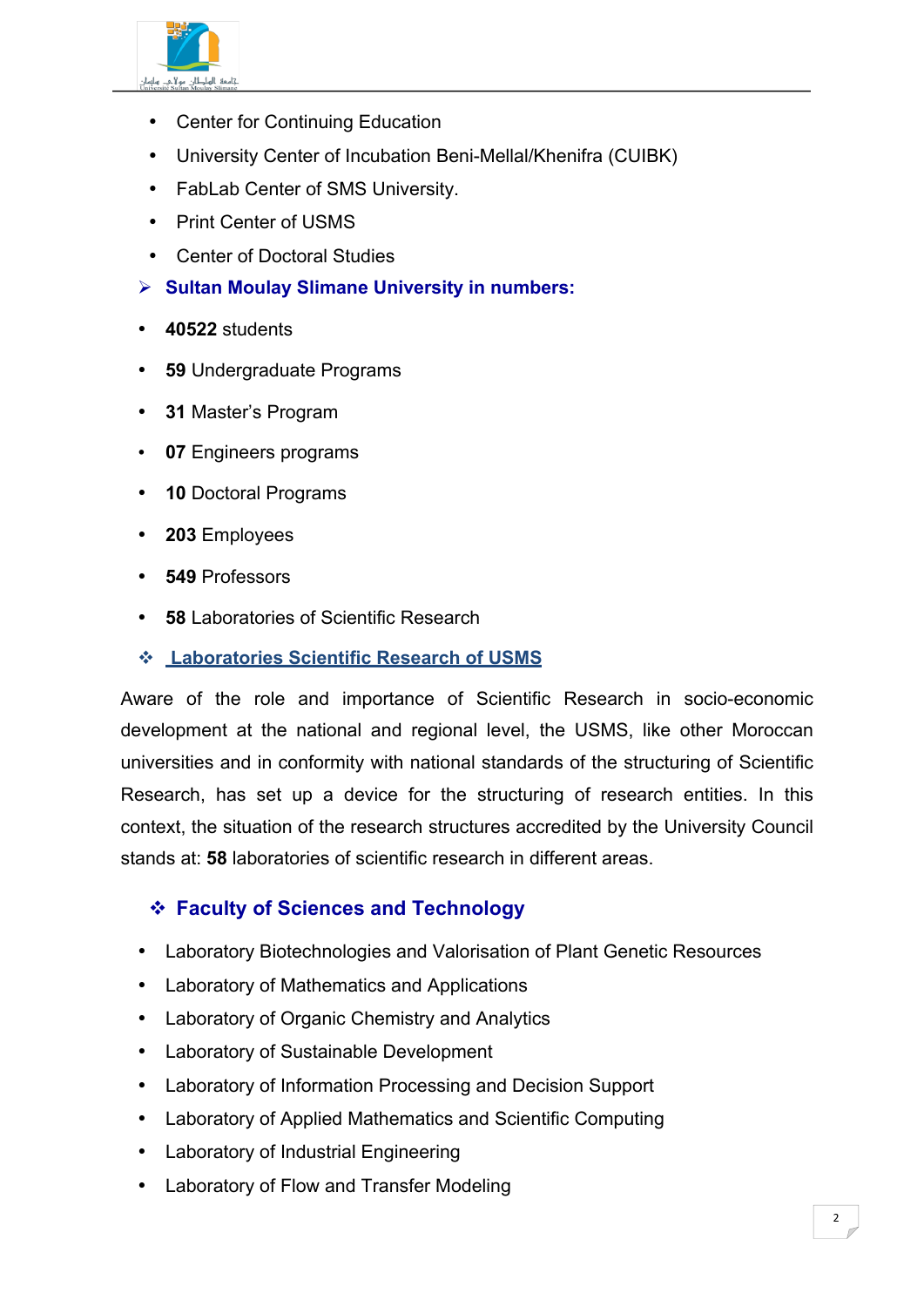

- Center for Continuing Education
- University Center of Incubation Beni-Mellal/Khenifra (CUIBK)
- FabLab Center of SMS University.
- Print Center of USMS
- Center of Doctoral Studies
- Ø **Sultan Moulay Slimane University in numbers:**
- **40522** students
- **59** Undergraduate Programs
- **31** Master's Program
- **07** Engineers programs
- **10** Doctoral Programs
- **203** Employees
- **549** Professors
- **58** Laboratories of Scientific Research
- v **Laboratories Scientific Research of USMS**

Aware of the role and importance of Scientific Research in socio-economic development at the national and regional level, the USMS, like other Moroccan universities and in conformity with national standards of the structuring of Scientific Research, has set up a device for the structuring of research entities. In this context, the situation of the research structures accredited by the University Council stands at: **58** laboratories of scientific research in different areas.

# v **Faculty of Sciences and Technology**

- Laboratory Biotechnologies and Valorisation of Plant Genetic Resources
- Laboratory of Mathematics and Applications
- Laboratory of Organic Chemistry and Analytics
- Laboratory of Sustainable Development
- Laboratory of Information Processing and Decision Support
- Laboratory of Applied Mathematics and Scientific Computing
- Laboratory of Industrial Engineering
- Laboratory of Flow and Transfer Modeling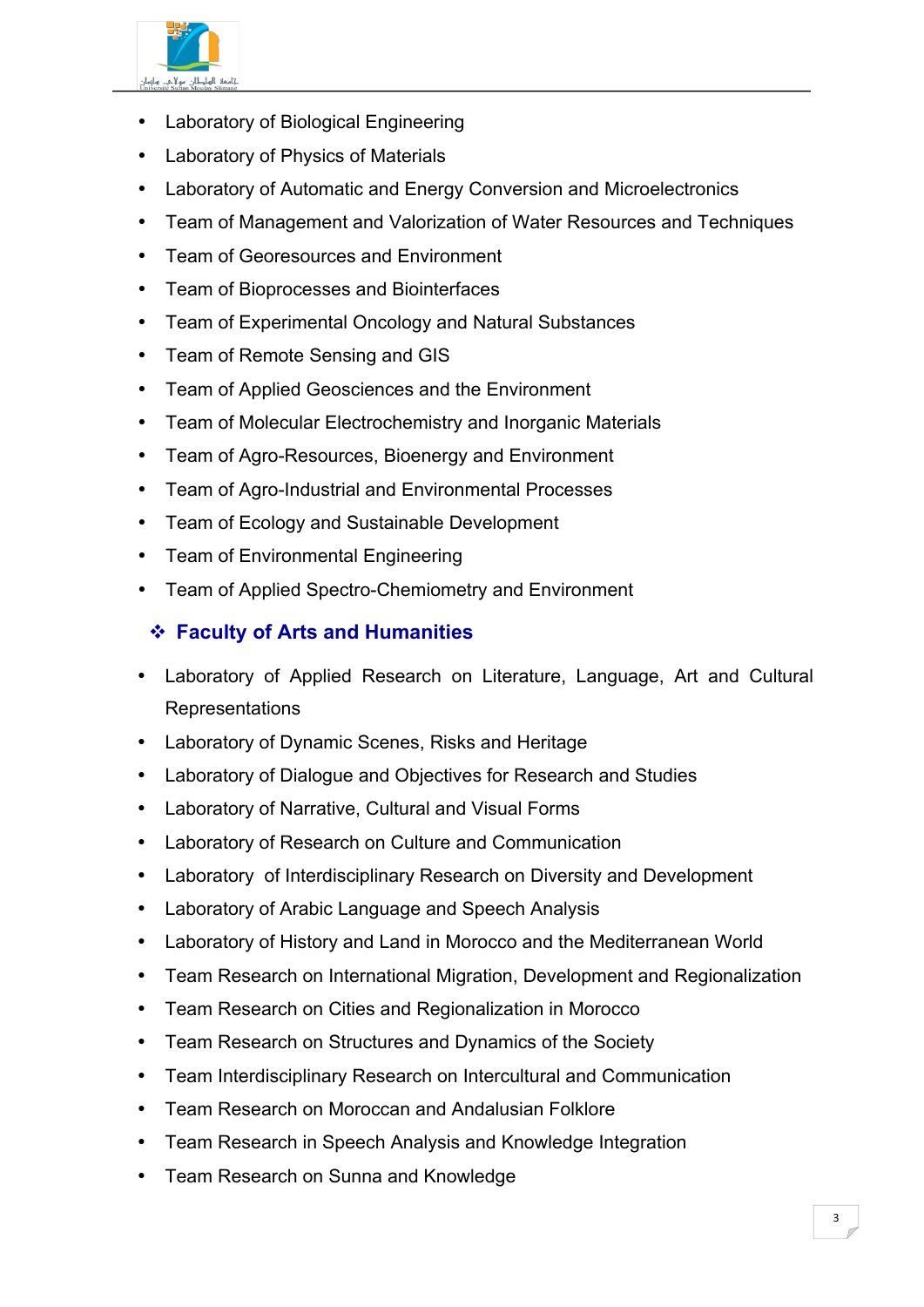

- Laboratory of Biological Engineering
- Laboratory of Physics of Materials
- Laboratory of Automatic and Energy Conversion and Microelectronics
- Team of Management and Valorization of Water Resources and Techniques
- Team of Georesources and Environment
- Team of Bioprocesses and Biointerfaces
- Team of Experimental Oncology and Natural Substances
- Team of Remote Sensing and GIS
- Team of Applied Geosciences and the Environment
- Team of Molecular Electrochemistry and Inorganic Materials
- Team of Agro-Resources, Bioenergy and Environment
- Team of Agro-Industrial and Environmental Processes
- Team of Ecology and Sustainable Development
- Team of Environmental Engineering
- Team of Applied Spectro-Chemiometry and Environment

# v **Faculty of Arts and Humanities**

- Laboratory of Applied Research on Literature, Language, Art and Cultural Representations
- Laboratory of Dynamic Scenes, Risks and Heritage
- Laboratory of Dialogue and Objectives for Research and Studies
- Laboratory of Narrative, Cultural and Visual Forms
- Laboratory of Research on Culture and Communication
- Laboratory of Interdisciplinary Research on Diversity and Development
- Laboratory of Arabic Language and Speech Analysis
- Laboratory of History and Land in Morocco and the Mediterranean World
- Team Research on International Migration, Development and Regionalization
- Team Research on Cities and Regionalization in Morocco
- Team Research on Structures and Dynamics of the Society
- Team Interdisciplinary Research on Intercultural and Communication
- Team Research on Moroccan and Andalusian Folklore
- Team Research in Speech Analysis and Knowledge Integration
- Team Research on Sunna and Knowledge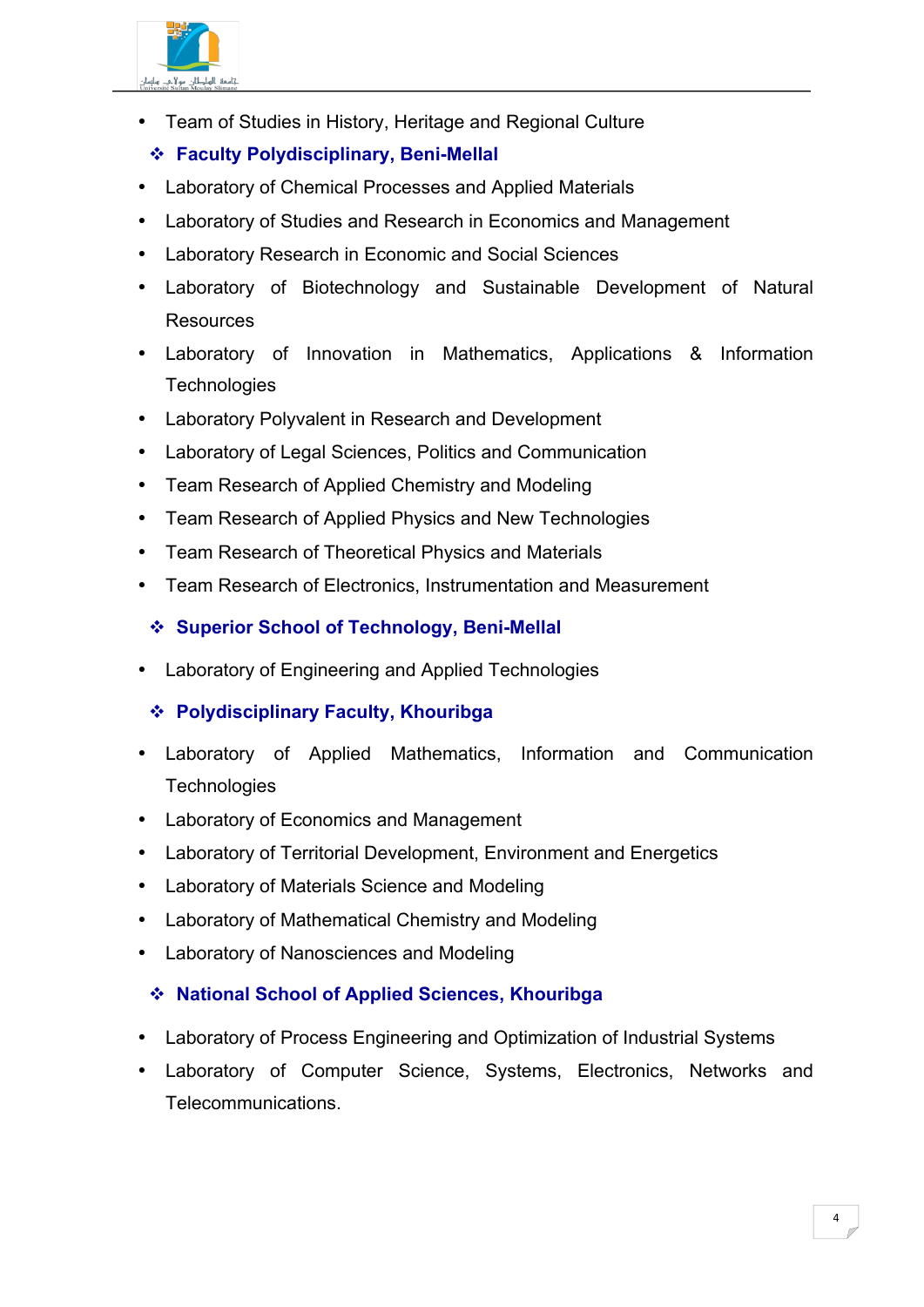

• Team of Studies in History, Heritage and Regional Culture

# v **Faculty Polydisciplinary, Beni-Mellal**

- Laboratory of Chemical Processes and Applied Materials
- Laboratory of Studies and Research in Economics and Management
- Laboratory Research in Economic and Social Sciences
- Laboratory of Biotechnology and Sustainable Development of Natural Resources
- Laboratory of Innovation in Mathematics, Applications & Information **Technologies**
- Laboratory Polyvalent in Research and Development
- Laboratory of Legal Sciences, Politics and Communication
- Team Research of Applied Chemistry and Modeling
- Team Research of Applied Physics and New Technologies
- Team Research of Theoretical Physics and Materials
- Team Research of Electronics, Instrumentation and Measurement

## v **Superior School of Technology, Beni-Mellal**

• Laboratory of Engineering and Applied Technologies

# v **Polydisciplinary Faculty, Khouribga**

- Laboratory of Applied Mathematics, Information and Communication **Technologies**
- Laboratory of Economics and Management
- Laboratory of Territorial Development, Environment and Energetics
- Laboratory of Materials Science and Modeling
- Laboratory of Mathematical Chemistry and Modeling
- Laboratory of Nanosciences and Modeling

# v **National School of Applied Sciences, Khouribga**

- Laboratory of Process Engineering and Optimization of Industrial Systems
- Laboratory of Computer Science, Systems, Electronics, Networks and Telecommunications.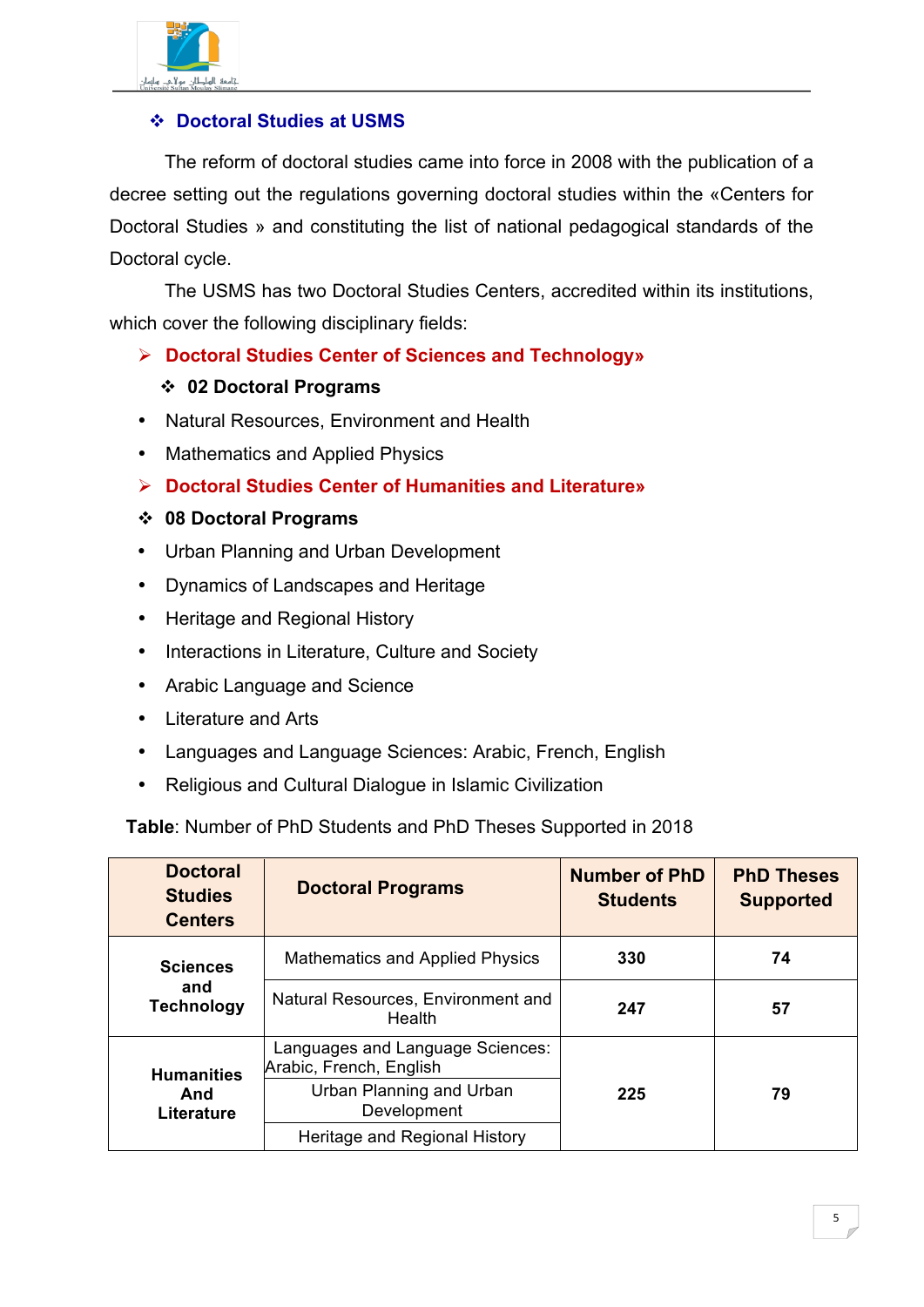

# v **Doctoral Studies at USMS**

The reform of doctoral studies came into force in 2008 with the publication of a decree setting out the regulations governing doctoral studies within the «Centers for Doctoral Studies » and constituting the list of national pedagogical standards of the Doctoral cycle.

The USMS has two Doctoral Studies Centers, accredited within its institutions, which cover the following disciplinary fields:

Ø **Doctoral Studies Center of Sciences and Technology»** 

### v **02 Doctoral Programs**

- Natural Resources, Environment and Health
- Mathematics and Applied Physics
- Ø **Doctoral Studies Center of Humanities and Literature»**

### v **08 Doctoral Programs**

- Urban Planning and Urban Development
- Dynamics of Landscapes and Heritage
- Heritage and Regional History
- Interactions in Literature, Culture and Society
- Arabic Language and Science
- Literature and Arts
- Languages and Language Sciences: Arabic, French, English
- Religious and Cultural Dialogue in Islamic Civilization

**Table**: Number of PhD Students and PhD Theses Supported in 2018

| <b>Doctoral</b><br><b>Studies</b><br><b>Centers</b> | <b>Doctoral Programs</b>                                    | <b>Number of PhD</b><br><b>Students</b> | <b>PhD Theses</b><br><b>Supported</b> |
|-----------------------------------------------------|-------------------------------------------------------------|-----------------------------------------|---------------------------------------|
| <b>Sciences</b><br>and<br><b>Technology</b>         | <b>Mathematics and Applied Physics</b>                      | 330                                     | 74                                    |
|                                                     | Natural Resources, Environment and<br>Health                | 247                                     | 57                                    |
| <b>Humanities</b><br>And<br>Literature              | Languages and Language Sciences:<br>Arabic, French, English | 225                                     | 79                                    |
|                                                     | Urban Planning and Urban<br>Development                     |                                         |                                       |
|                                                     | Heritage and Regional History                               |                                         |                                       |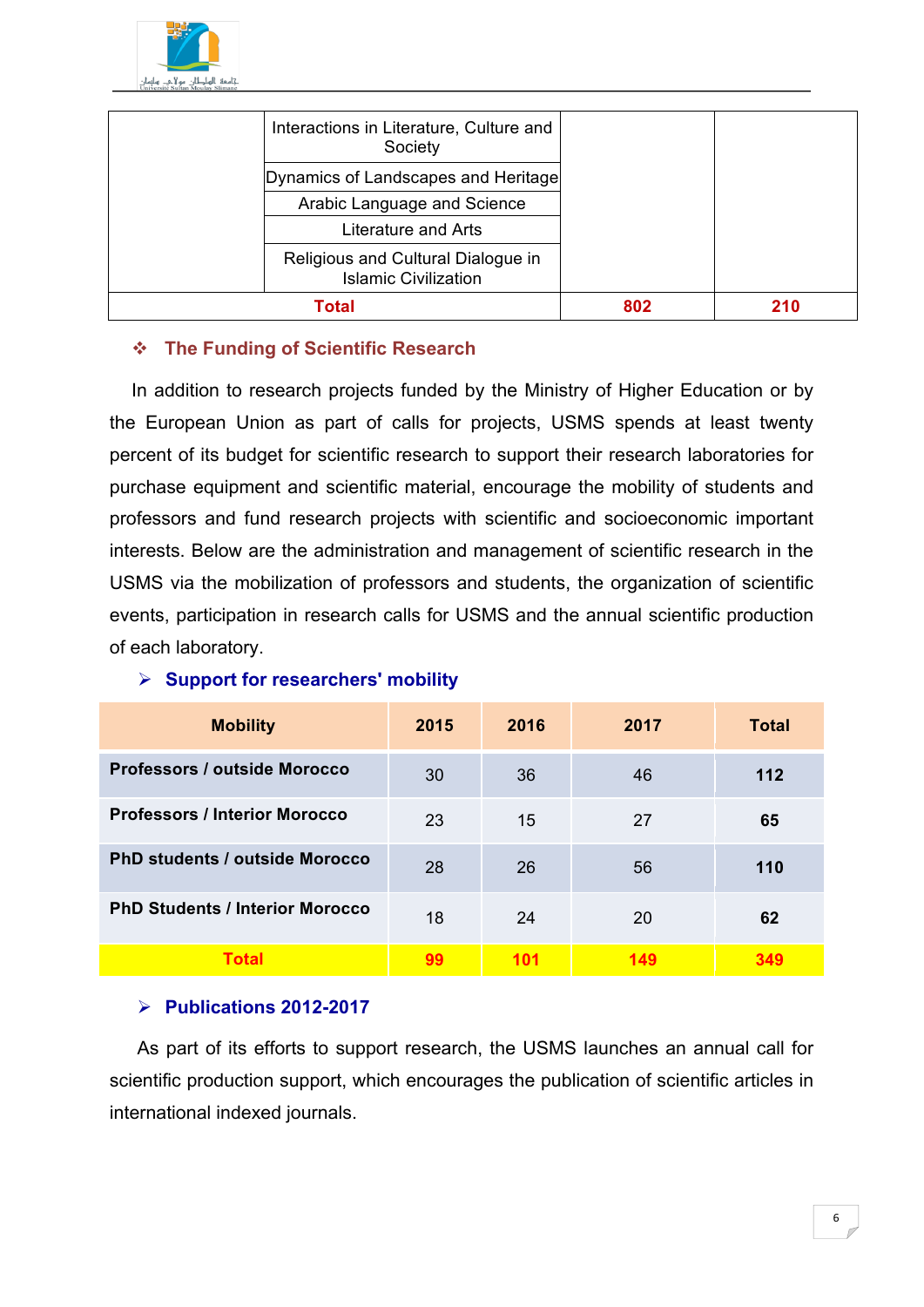

| Interactions in Literature, Culture and<br>Society                |     |  |
|-------------------------------------------------------------------|-----|--|
| Dynamics of Landscapes and Heritage                               |     |  |
| Arabic Language and Science                                       |     |  |
| Literature and Arts                                               |     |  |
| Religious and Cultural Dialogue in<br><b>Islamic Civilization</b> |     |  |
| Total                                                             | 802 |  |

### v **The Funding of Scientific Research**

In addition to research projects funded by the Ministry of Higher Education or by the European Union as part of calls for projects, USMS spends at least twenty percent of its budget for scientific research to support their research laboratories for purchase equipment and scientific material, encourage the mobility of students and professors and fund research projects with scientific and socioeconomic important interests. Below are the administration and management of scientific research in the USMS via the mobilization of professors and students, the organization of scientific events, participation in research calls for USMS and the annual scientific production of each laboratory.

| <b>Mobility</b>                        | 2015 | 2016 | 2017 | Total |
|----------------------------------------|------|------|------|-------|
| Professors / outside Morocco           | 30   | 36   | 46   | $112$ |
| <b>Professors / Interior Morocco</b>   | 23   | 15   | 27   | 65    |
| <b>PhD students / outside Morocco</b>  | 28   | 26   | 56   | 110   |
| <b>PhD Students / Interior Morocco</b> | 18   | 24   | 20   | 62    |
| <b>Total</b>                           | 99   | 101  | 149  | 349   |

#### Ø **Support for researchers' mobility**

#### Ø **Publications 2012-2017**

As part of its efforts to support research, the USMS launches an annual call for scientific production support, which encourages the publication of scientific articles in international indexed journals.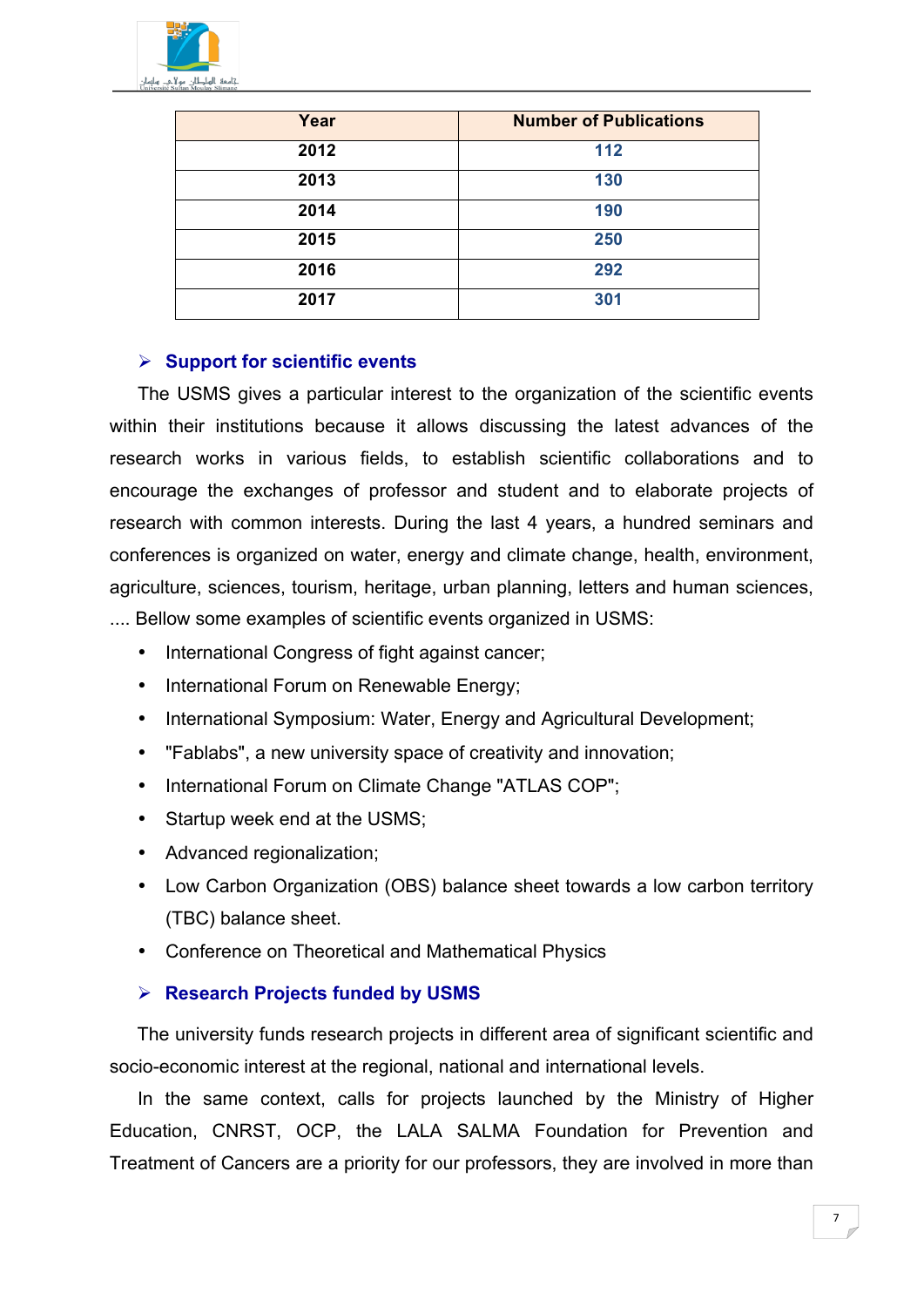

| Year | <b>Number of Publications</b> |
|------|-------------------------------|
| 2012 | 112                           |
| 2013 | 130                           |
| 2014 | 190                           |
| 2015 | 250                           |
| 2016 | 292                           |
| 2017 | 301                           |

#### Ø **Support for scientific events**

The USMS gives a particular interest to the organization of the scientific events within their institutions because it allows discussing the latest advances of the research works in various fields, to establish scientific collaborations and to encourage the exchanges of professor and student and to elaborate projects of research with common interests. During the last 4 years, a hundred seminars and conferences is organized on water, energy and climate change, health, environment, agriculture, sciences, tourism, heritage, urban planning, letters and human sciences, .... Bellow some examples of scientific events organized in USMS:

- International Congress of fight against cancer;
- International Forum on Renewable Energy;
- International Symposium: Water, Energy and Agricultural Development;
- "Fablabs", a new university space of creativity and innovation;
- International Forum on Climate Change "ATLAS COP";
- Startup week end at the USMS;
- Advanced regionalization;
- Low Carbon Organization (OBS) balance sheet towards a low carbon territory (TBC) balance sheet.
- Conference on Theoretical and Mathematical Physics

### Ø **Research Projects funded by USMS**

The university funds research projects in different area of significant scientific and socio-economic interest at the regional, national and international levels.

In the same context, calls for projects launched by the Ministry of Higher Education, CNRST, OCP, the LALA SALMA Foundation for Prevention and Treatment of Cancers are a priority for our professors, they are involved in more than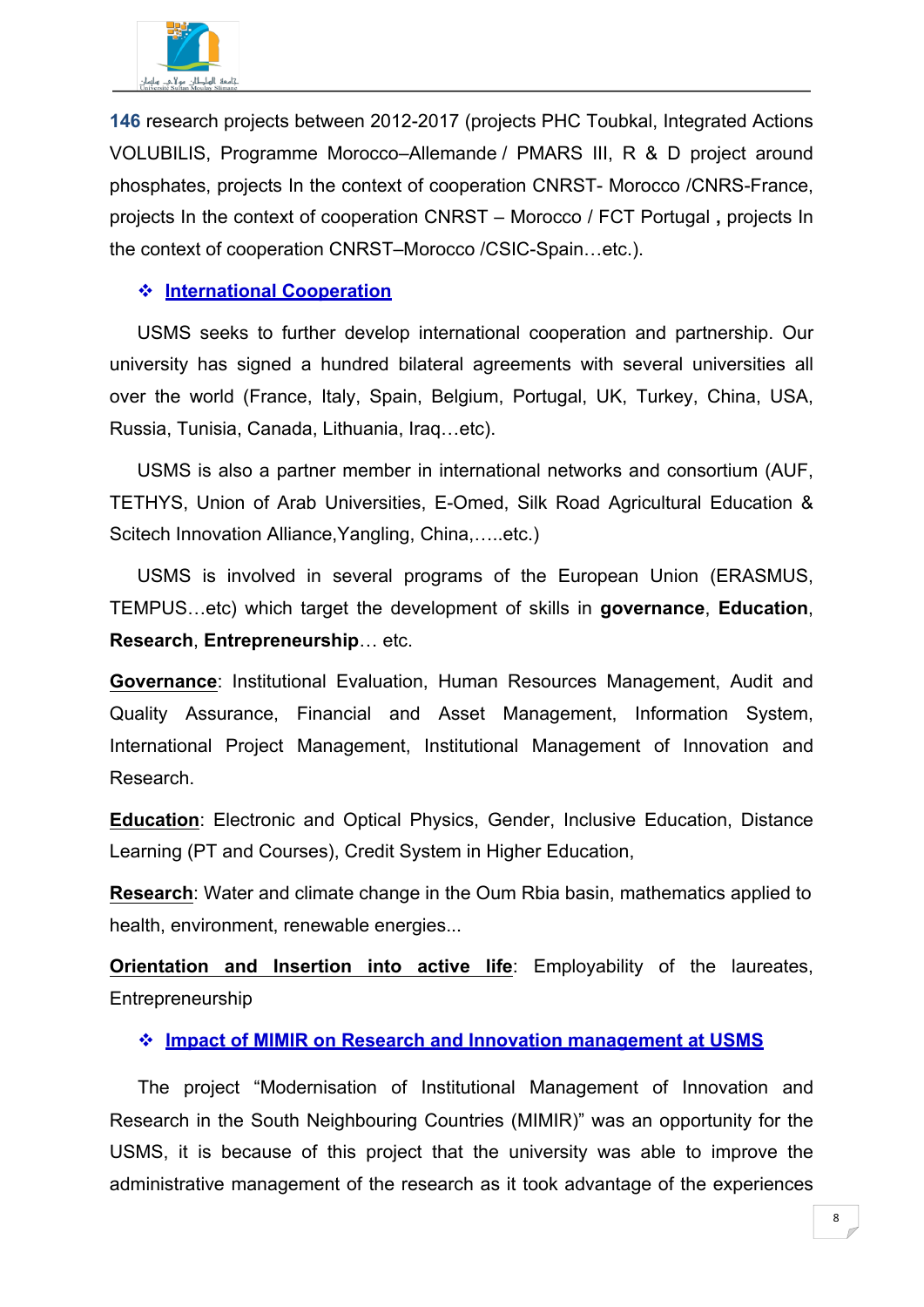

**146** research projects between 2012-2017 (projects PHC Toubkal, Integrated Actions VOLUBILIS, Programme Morocco–Allemande / PMARS III, R & D project around phosphates, projects In the context of cooperation CNRST- Morocco /CNRS-France, projects In the context of cooperation CNRST – Morocco / FCT Portugal **,** projects In the context of cooperation CNRST–Morocco /CSIC-Spain…etc.).

#### v **International Cooperation**

USMS seeks to further develop international cooperation and partnership. Our university has signed a hundred bilateral agreements with several universities all over the world (France, Italy, Spain, Belgium, Portugal, UK, Turkey, China, USA, Russia, Tunisia, Canada, Lithuania, Iraq…etc).

USMS is also a partner member in international networks and consortium (AUF, TETHYS, Union of Arab Universities, E-Omed, Silk Road Agricultural Education & Scitech Innovation Alliance,Yangling, China,…..etc.)

USMS is involved in several programs of the European Union (ERASMUS, TEMPUS…etc) which target the development of skills in **governance**, **Education**, **Research**, **Entrepreneurship**… etc.

**Governance**: Institutional Evaluation, Human Resources Management, Audit and Quality Assurance, Financial and Asset Management, Information System, International Project Management, Institutional Management of Innovation and Research.

**Education**: Electronic and Optical Physics, Gender, Inclusive Education, Distance Learning (PT and Courses), Credit System in Higher Education,

**Research**: Water and climate change in the Oum Rbia basin, mathematics applied to health, environment, renewable energies...

**Orientation and Insertion into active life**: Employability of the laureates, Entrepreneurship

#### v **Impact of MIMIR on Research and Innovation management at USMS**

The project "Modernisation of Institutional Management of Innovation and Research in the South Neighbouring Countries (MIMIR)" was an opportunity for the USMS, it is because of this project that the university was able to improve the administrative management of the research as it took advantage of the experiences